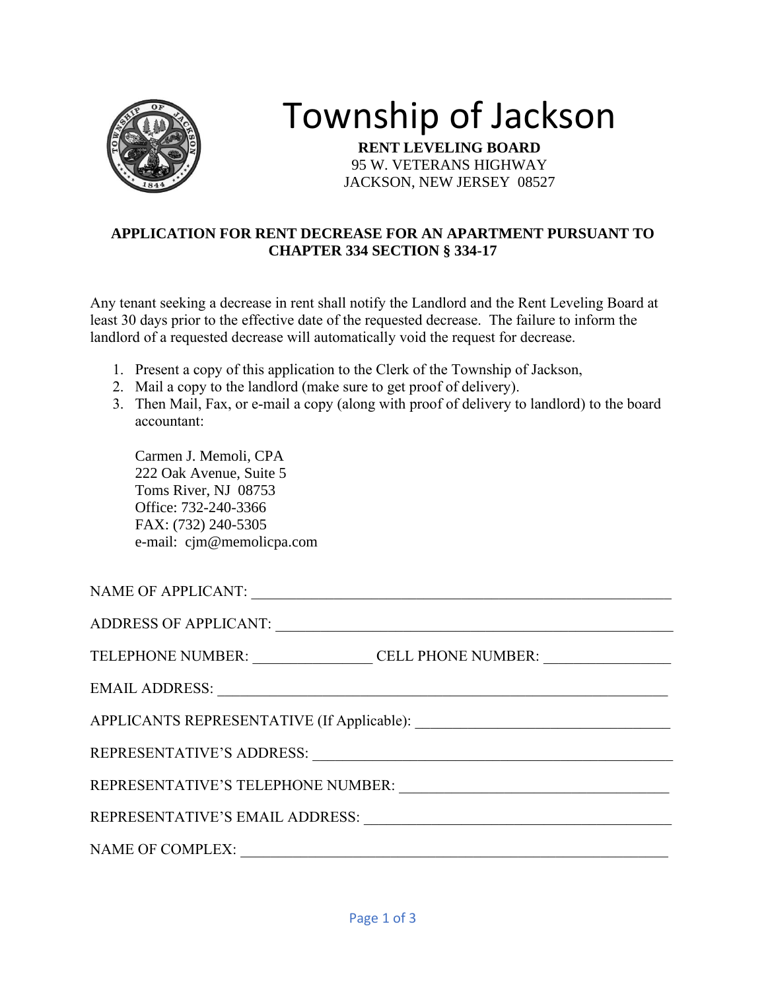

## Township of Jackson

**RENT LEVELING BOARD** 95 W. VETERANS HIGHWAY JACKSON, NEW JERSEY 08527

## **APPLICATION FOR RENT DECREASE FOR AN APARTMENT PURSUANT TO CHAPTER 334 SECTION § 334-17**

Any tenant seeking a decrease in rent shall notify the Landlord and the Rent Leveling Board at least 30 days prior to the effective date of the requested decrease. The failure to inform the landlord of a requested decrease will automatically void the request for decrease.

- 1. Present a copy of this application to the Clerk of the Township of Jackson,
- 2. Mail a copy to the landlord (make sure to get proof of delivery).
- 3. Then Mail, Fax, or e-mail a copy (along with proof of delivery to landlord) to the board accountant:

Carmen J. Memoli, CPA 222 Oak Avenue, Suite 5 Toms River, NJ 08753 Office: 732-240-3366 FAX: (732) 240-5305 e-mail: cjm@memolicpa.com

| TELEPHONE NUMBER: __________________CELL PHONE NUMBER: _________________________              |  |  |
|-----------------------------------------------------------------------------------------------|--|--|
|                                                                                               |  |  |
|                                                                                               |  |  |
|                                                                                               |  |  |
| REPRESENTATIVE'S TELEPHONE NUMBER:<br><u> 1989 - Johann Barbara, martin amerikan basar da</u> |  |  |
|                                                                                               |  |  |
| <b>NAME OF COMPLEX:</b>                                                                       |  |  |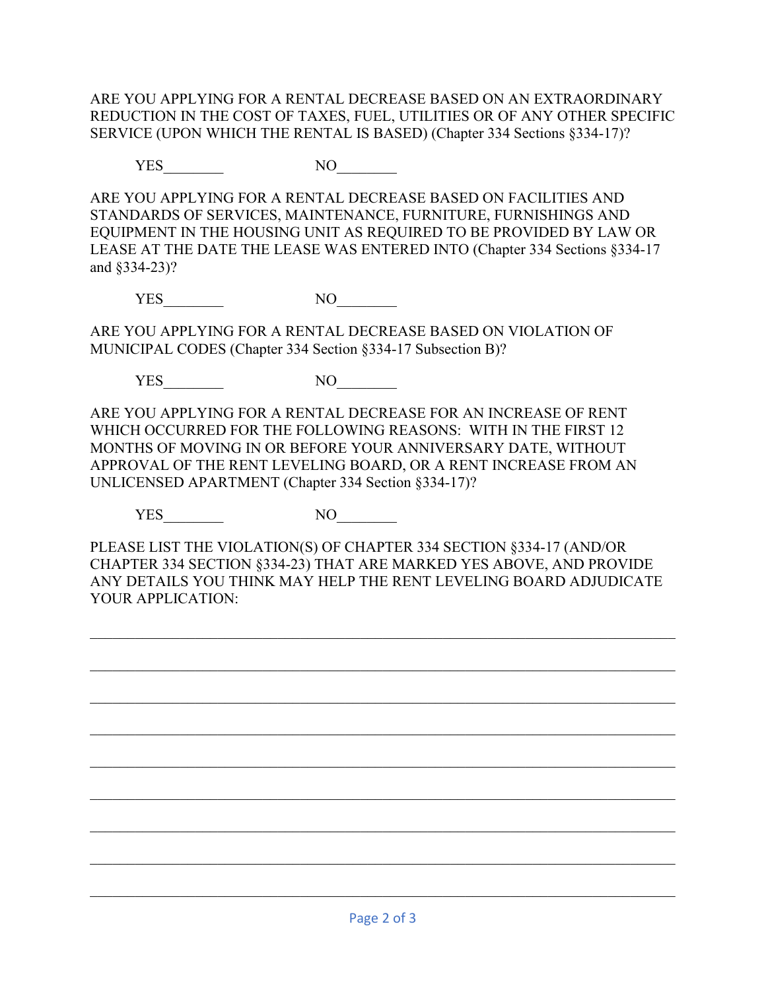ARE YOU APPLYING FOR A RENTAL DECREASE BASED ON AN EXTRAORDINARY REDUCTION IN THE COST OF TAXES, FUEL, UTILITIES OR OF ANY OTHER SPECIFIC SERVICE (UPON WHICH THE RENTAL IS BASED) (Chapter 334 Sections §334-17)?

YES NO

ARE YOU APPLYING FOR A RENTAL DECREASE BASED ON FACILITIES AND STANDARDS OF SERVICES, MAINTENANCE, FURNITURE, FURNISHINGS AND EQUIPMENT IN THE HOUSING UNIT AS REQUIRED TO BE PROVIDED BY LAW OR LEASE AT THE DATE THE LEASE WAS ENTERED INTO (Chapter 334 Sections §334-17 and §334-23)?

YES NO

ARE YOU APPLYING FOR A RENTAL DECREASE BASED ON VIOLATION OF MUNICIPAL CODES (Chapter 334 Section §334-17 Subsection B)?

YES NO

ARE YOU APPLYING FOR A RENTAL DECREASE FOR AN INCREASE OF RENT WHICH OCCURRED FOR THE FOLLOWING REASONS: WITH IN THE FIRST 12 MONTHS OF MOVING IN OR BEFORE YOUR ANNIVERSARY DATE, WITHOUT APPROVAL OF THE RENT LEVELING BOARD, OR A RENT INCREASE FROM AN UNLICENSED APARTMENT (Chapter 334 Section §334-17)?

YES NO

PLEASE LIST THE VIOLATION(S) OF CHAPTER 334 SECTION §334-17 (AND/OR CHAPTER 334 SECTION §334-23) THAT ARE MARKED YES ABOVE, AND PROVIDE ANY DETAILS YOU THINK MAY HELP THE RENT LEVELING BOARD ADJUDICATE YOUR APPLICATION:

 $\mathcal{L}_\mathcal{L} = \mathcal{L}_\mathcal{L} = \mathcal{L}_\mathcal{L} = \mathcal{L}_\mathcal{L} = \mathcal{L}_\mathcal{L} = \mathcal{L}_\mathcal{L} = \mathcal{L}_\mathcal{L} = \mathcal{L}_\mathcal{L} = \mathcal{L}_\mathcal{L} = \mathcal{L}_\mathcal{L} = \mathcal{L}_\mathcal{L} = \mathcal{L}_\mathcal{L} = \mathcal{L}_\mathcal{L} = \mathcal{L}_\mathcal{L} = \mathcal{L}_\mathcal{L} = \mathcal{L}_\mathcal{L} = \mathcal{L}_\mathcal{L}$